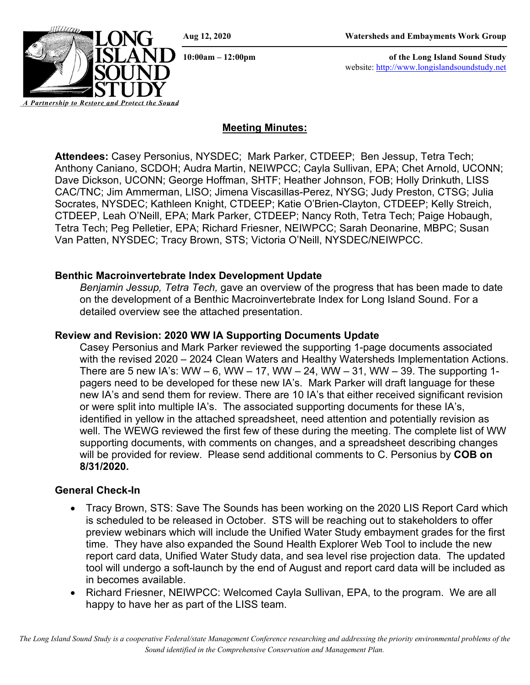**10:00am – 12:00pm of the Long Island Sound Study** website: [http://www.longislandsoundstudy.net](http://www.longislandsoundstudy.net/)



**Attendees:** Casey Personius, NYSDEC; Mark Parker, CTDEEP; Ben Jessup, Tetra Tech; Anthony Caniano, SCDOH; Audra Martin, NEIWPCC; Cayla Sullivan, EPA; Chet Arnold, UCONN; Dave Dickson, UCONN; George Hoffman, SHTF; Heather Johnson, FOB; Holly Drinkuth, LISS CAC/TNC; Jim Ammerman, LISO; Jimena Viscasillas-Perez, NYSG; Judy Preston, CTSG; Julia Socrates, NYSDEC; Kathleen Knight, CTDEEP; Katie O'Brien-Clayton, CTDEEP; Kelly Streich, CTDEEP, Leah O'Neill, EPA; Mark Parker, CTDEEP; Nancy Roth, Tetra Tech; Paige Hobaugh, Tetra Tech; Peg Pelletier, EPA; Richard Friesner, NEIWPCC; Sarah Deonarine, MBPC; Susan Van Patten, NYSDEC; Tracy Brown, STS; Victoria O'Neill, NYSDEC/NEIWPCC.

#### **Benthic Macroinvertebrate Index Development Update**

*Benjamin Jessup, Tetra Tech,* gave an overview of the progress that has been made to date on the development of a Benthic Macroinvertebrate Index for Long Island Sound. For a detailed overview see the attached presentation.

#### **Review and Revision: 2020 WW IA Supporting Documents Update**

Casey Personius and Mark Parker reviewed the supporting 1-page documents associated with the revised 2020 – 2024 Clean Waters and Healthy Watersheds Implementation Actions. There are 5 new IA's: WW – 6, WW – 17, WW – 24, WW – 31, WW – 39. The supporting 1pagers need to be developed for these new IA's. Mark Parker will draft language for these new IA's and send them for review. There are 10 IA's that either received significant revision or were split into multiple IA's. The associated supporting documents for these IA's, identified in yellow in the attached spreadsheet, need attention and potentially revision as well. The WEWG reviewed the first few of these during the meeting. The complete list of WW supporting documents, with comments on changes, and a spreadsheet describing changes will be provided for review. Please send additional comments to C. Personius by **COB on 8/31/2020.** 

### **General Check-In**

*A Partnership to Restore and Protect the Sound*

- Tracy Brown, STS: Save The Sounds has been working on the 2020 LIS Report Card which is scheduled to be released in October. STS will be reaching out to stakeholders to offer preview webinars which will include the Unified Water Study embayment grades for the first time. They have also expanded the Sound Health Explorer Web Tool to include the new report card data, Unified Water Study data, and sea level rise projection data. The updated tool will undergo a soft-launch by the end of August and report card data will be included as in becomes available.
- Richard Friesner, NEIWPCC: Welcomed Cayla Sullivan, EPA, to the program. We are all happy to have her as part of the LISS team.

*The Long Island Sound Study is a cooperative Federal/state Management Conference researching and addressing the priority environmental problems of the Sound identified in the Comprehensive Conservation and Management Plan.*